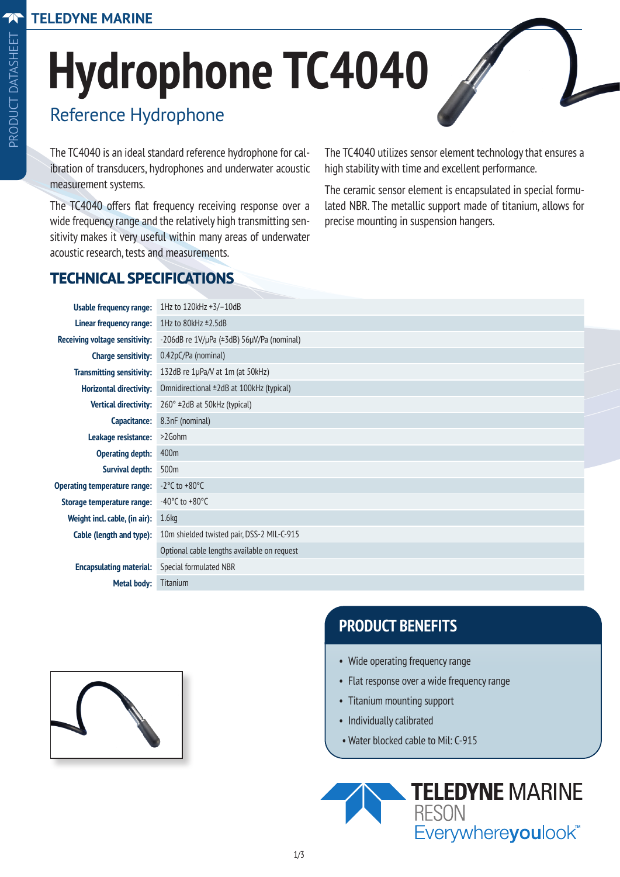### Reference Hydrophone **Hydrophone TC4040**

The TC4040 is an ideal standard reference hydrophone for calibration of transducers, hydrophones and underwater acoustic measurement systems.

The TC4040 offers flat frequency receiving response over a wide frequency range and the relatively high transmitting sensitivity makes it very useful within many areas of underwater acoustic research, tests and measurements.

The TC4040 utilizes sensor element technology that ensures a high stability with time and excellent performance.

The ceramic sensor element is encapsulated in special formulated NBR. The metallic support made of titanium, allows for precise mounting in suspension hangers.

#### **TECHNICAL SPECIFICATIONS**

| Usable frequency range:               | 1Hz to 120kHz +3/-10dB                                       |
|---------------------------------------|--------------------------------------------------------------|
| Linear frequency range:               | 1Hz to 80kHz ±2.5dB                                          |
| <b>Receiving voltage sensitivity:</b> | $-206dB$ re $1V/\mu$ Pa ( $\pm$ 3dB) 56 $\mu$ V/Pa (nominal) |
| <b>Charge sensitivity:</b>            | 0.42pC/Pa (nominal)                                          |
| <b>Transmitting sensitivity:</b>      | 132dB re 1µPa/V at 1m (at 50kHz)                             |
| <b>Horizontal directivity:</b>        | Omnidirectional ±2dB at 100kHz (typical)                     |
| <b>Vertical directivity:</b>          | $260^\circ$ ±2dB at 50kHz (typical)                          |
| Capacitance:                          | 8.3nF (nominal)                                              |
| Leakage resistance:                   | $>2$ Gohm                                                    |
| <b>Operating depth:</b>               | 400m                                                         |
| <b>Survival depth:</b>                | 500 <sub>m</sub>                                             |
| <b>Operating temperature range:</b>   | $-2$ °C to $+80$ °C                                          |
| Storage temperature range:            | -40 $^{\circ}$ C to +80 $^{\circ}$ C                         |
| Weight incl. cable, (in air):         | 1.6 <sub>kq</sub>                                            |
| Cable (length and type):              | 10m shielded twisted pair, DSS-2 MIL-C-915                   |
|                                       | Optional cable lengths available on request                  |
| <b>Encapsulating material:</b>        | Special formulated NBR                                       |
| Metal body:                           | Titanium                                                     |
|                                       |                                                              |



### **PRODUCT BENEFITS**

- Wide operating frequency range
- Flat response over a wide frequency range
- Titanium mounting support
- Individually calibrated
- Water blocked cable to Mil: C-915

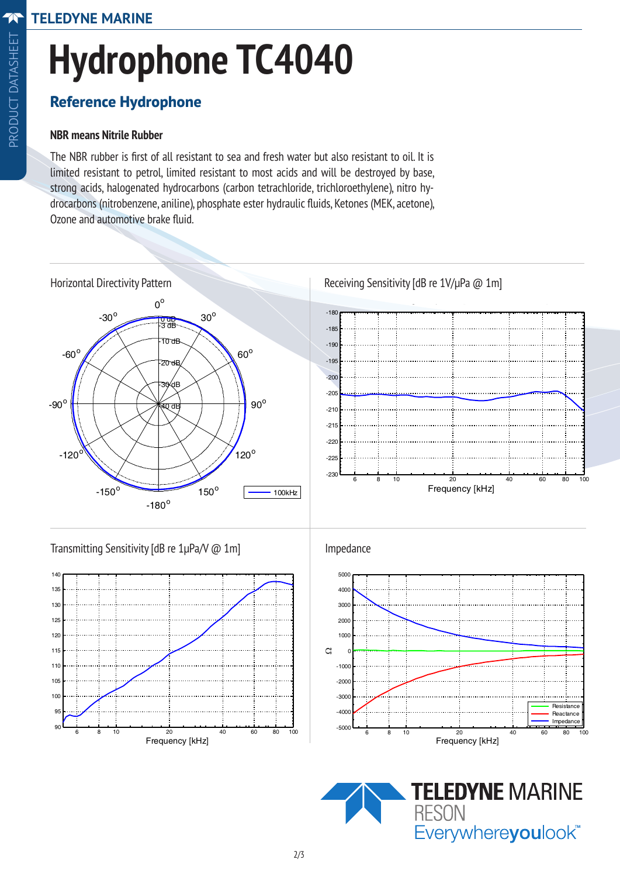# **Hydrophone TC4040**

#### **Reference Hydrophone**

#### **NBR means Nitrile Rubber**

The NBR rubber is first of all resistant to sea and fresh water but also resistant to oil. It is limited resistant to petrol, limited resistant to most acids and will be destroyed by base, strong acids, halogenated hydrocarbons (carbon tetrachloride, trichloroethylene), nitro hydrocarbons (nitrobenzene, aniline), phosphate ester hydraulic fluids, Ketones (MEK, acetone), Ozone and automotive brake fluid.